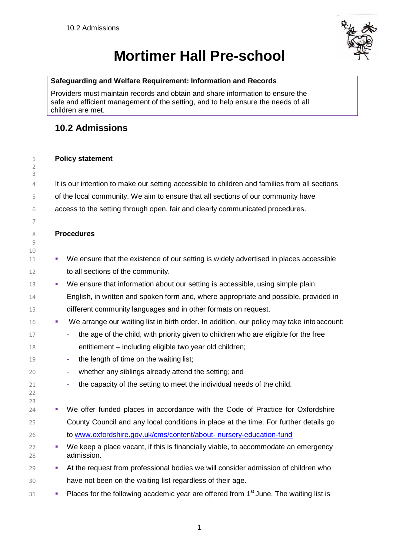

# **Mortimer Hall Pre-school**

#### **Safeguarding and Welfare Requirement: Information and Records**

Providers must maintain records and obtain and share information to ensure the safe and efficient management of the setting, and to help ensure the needs of all children are met.

## **10.2 Admissions**

#### **Policy statement**

 

4 It is our intention to make our setting accessible to children and families from all sections of the local community. We aim to ensure that all sections of our community have access to the setting through open, fair and clearly communicated procedures.

#### **Procedures**

- 11 • We ensure that the existence of our setting is widely advertised in places accessible 12 to all sections of the community.
- 13 We ensure that information about our setting is accessible, using simple plain English, in written and spoken form and, where appropriate and possible, provided in different community languages and in other formats on request.
- **We arrange our waiting list in birth order. In addition, our policy may take into account:**
- **the age of the child, with priority given to children who are eligible for the free** entitlement – including eligible two year old children;
- **the length of time on the waiting list;**
- whether any siblings already attend the setting; and
- 21 the capacity of the setting to meet the individual needs of the child.
- 24 We offer funded places in accordance with the Code of Practice for Oxfordshire County Council and any local conditions in place at the time. For further details go to [www.oxfordshire.gov.uk/cms/content/about-](http://www.oxfordshire.gov.uk/cms/content/about-nursery-education-fund) [nursery-education-fund](http://www.oxfordshire.gov.uk/cms/content/about-nursery-education-fund)
- <sup>27</sup> **•** We keep a place vacant, if this is financially viable, to accommodate an emergency admission.
- **At the request from professional bodies we will consider admission of children who** have not been on the waiting list regardless of their age.
- Places for the following academic year are offered from 1<sup>st</sup> June. The waiting list is